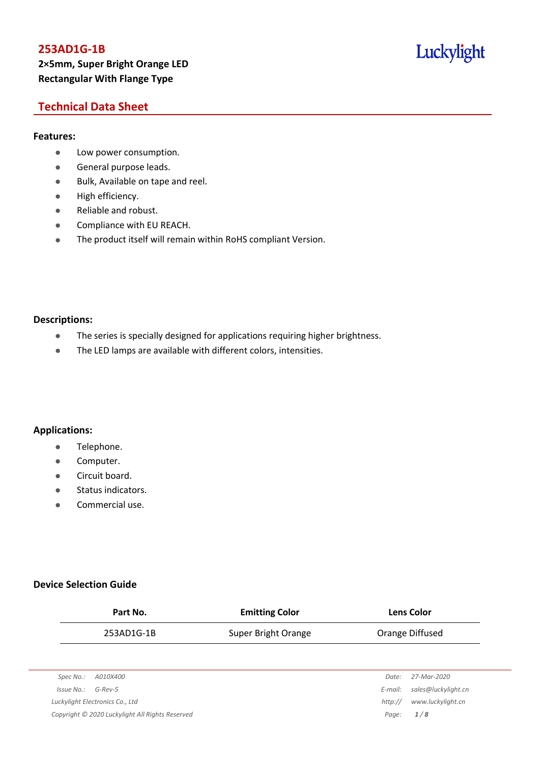## **253AD1G-1B 2×5mm, Super Bright Orange LED Rectangular With Flange Type**

# Luckylight

## **Technical Data Sheet**

### **Features:**

- **•** Low power consumption.
- **General purpose leads.**
- Bulk, Available on tape and reel.
- High efficiency.
- Reliable and robust.
- **•** Compliance with EU REACH.
- The product itself will remain within RoHS compliant Version.

#### **Descriptions:**

- The series is specially designed for applications requiring higher brightness.
- The LED lamps are available with different colors, intensities.

### **Applications:**

- **•** Telephone.
- **•** Computer.
- **•** Circuit board.
- **•** Status indicators.
- Commercial use.

### **Device Selection Guide**

|            | Part No.                        | <b>Emitting Color</b> |         | <b>Lens Color</b>   |
|------------|---------------------------------|-----------------------|---------|---------------------|
|            | 253AD1G-1B                      | Super Bright Orange   |         | Orange Diffused     |
|            |                                 |                       |         |                     |
| Spec No.:  | A010X400                        |                       | Date:   | 27-Mar-2020         |
| Issue No.: | $G$ -Rev-5                      |                       | E-mail: | sales@luckylight.cn |
|            | Luckylight Electronics Co., Ltd |                       | http:// | www.luckylight.cn   |

*Copyright © 2020 Luckylight All Rights Reserved Page: 1 / 8*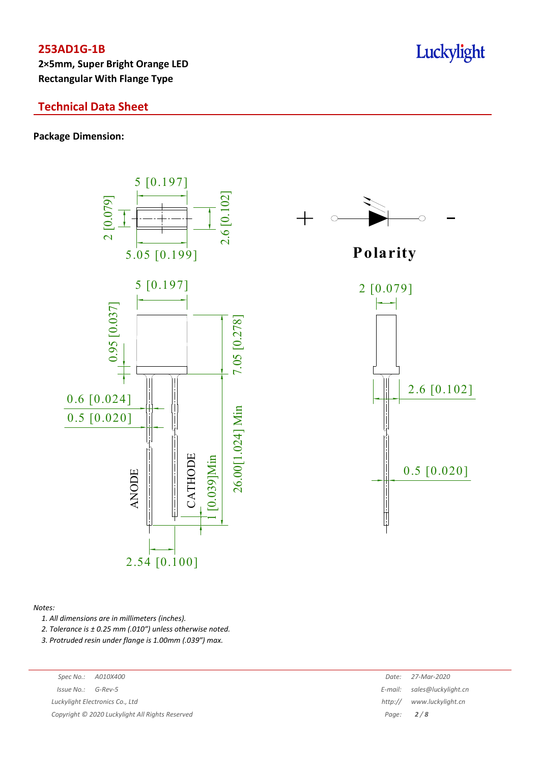**2×5mm, Super Bright Orange LED Rectangular With Flange Type**

## **Technical Data Sheet**

**Package Dimension:**



**P olarity** 0.5 [0.020] 2 [0.079] 2.6 [0.102]

#### *Notes:*

*1. All dimensions are in millimeters (inches).*

*2. Tolerance is ± 0.25 mm (.010″) unless otherwise noted.*

*3. Protruded resin under flange is 1.00mm (.039″) max.*

| Spec No.: A010X400 | Date: 27-Mar-2020 |
|--------------------|-------------------|
|                    |                   |

*Issue No.: G-Rev-5 E-mail: B-mail: B-mail: B-mail: B-mail: E-mail: B-mail: B-mail: B-mail: B-mail: B-mail: B-mail: B-mail: B-mail: B-mail: B-mail: B-mail: B-mail: B-mail: B-mail:* 

*Luckylight Electronics Co., Ltd* 

*Copyright © 2020 Luckylight All Rights Reserved Page: 2 / 8*

|       | Date: 27-Mar-2020           |
|-------|-----------------------------|
|       | E-mail: sales@luckylight.cn |
|       | http:// www.luckylight.cn   |
| Page: | 2/8                         |

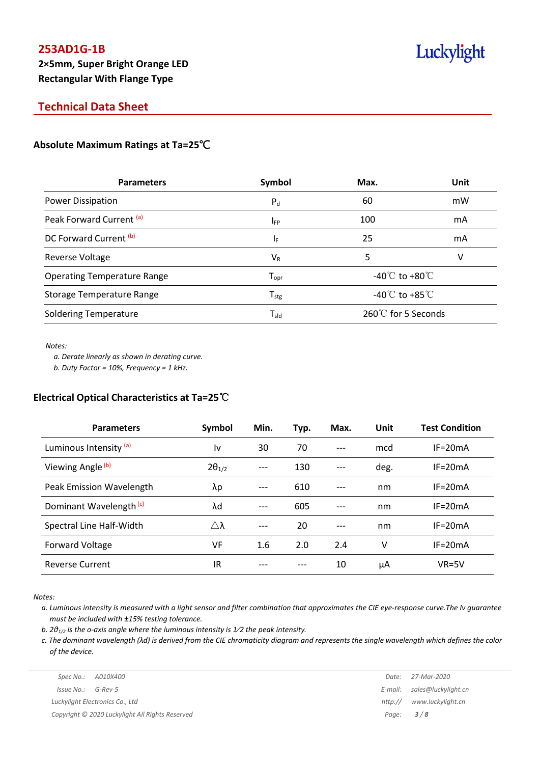## **Technical Data Sheet**

## **Absolute Maximum Ratings at Ta=25**℃

| Symbol                      | Max.                                 | Unit |
|-----------------------------|--------------------------------------|------|
| $P_{d}$                     | 60                                   | mW   |
| IFP                         | 100                                  | mA   |
| ΙF                          | 25                                   | mA   |
| $V_{R}$                     | 5                                    | v    |
| $T_{\mathrm{opr}}$          | -40 $\degree$ to +80 $\degree$       |      |
| ${\mathsf T}_{\text{stg}}$  | -40 $^{\circ}$ C to +85 $^{\circ}$ C |      |
| $\mathsf{T}_{\mathsf{sld}}$ | 260℃ for 5 Seconds                   |      |
|                             |                                      |      |

*Notes:*

*a. Derate linearly as shown in derating curve.*

*b. Duty Factor = 10%, Frequency = 1 kHz.*

### **Electrical Optical Characteristics at Ta=25**℃

| <b>Parameters</b>                  | Symbol          | Min. | Typ. | Max. | Unit | <b>Test Condition</b> |
|------------------------------------|-----------------|------|------|------|------|-----------------------|
| Luminous Intensity (a)             | ١v              | 30   | 70   | ---  | mcd  | $IF = 20mA$           |
| Viewing Angle <sup>(b)</sup>       | $2\theta_{1/2}$ | ---  | 130  |      | deg. | $IF = 20mA$           |
| Peak Emission Wavelength           | λp              | ---  | 610  |      | nm   | $IF = 20mA$           |
| Dominant Wavelength <sup>(c)</sup> | λd              |      | 605  | ---  | nm   | $IF = 20mA$           |
| Spectral Line Half-Width           | $\wedge\lambda$ | ---  | 20   | ---  | nm   | $IF = 20mA$           |
| <b>Forward Voltage</b>             | VF              | 1.6  | 2.0  | 2.4  | ٧    | $IF = 20mA$           |
| <b>Reverse Current</b>             | IR              |      |      | 10   | μA   | $VR=5V$               |

*Notes:*

a. Luminous intensity is measured with a light sensor and filter combination that approximates the CIE eye-response curve. The Iv guarantee *must be included with ±15% testing tolerance.*

*b. 2θ1/2 is the o-axis angle where the luminous intensity is 1⁄2 the peak intensity.*

c. The dominant wavelength ( $\lambda$ d) is derived from the CIE chromaticity diagram and represents the single wavelength which defines the color *of the device.*

|                                                 |         | Date: 27-Mar-2020           |
|-------------------------------------------------|---------|-----------------------------|
| Issue No.:<br>G-Rev-5                           |         | E-mail: sales@luckylight.cn |
| Luckylight Electronics Co., Ltd                 | http:// | www.luckylight.cn           |
| Copyright © 2020 Luckylight All Rights Reserved |         | Page: $3/8$                 |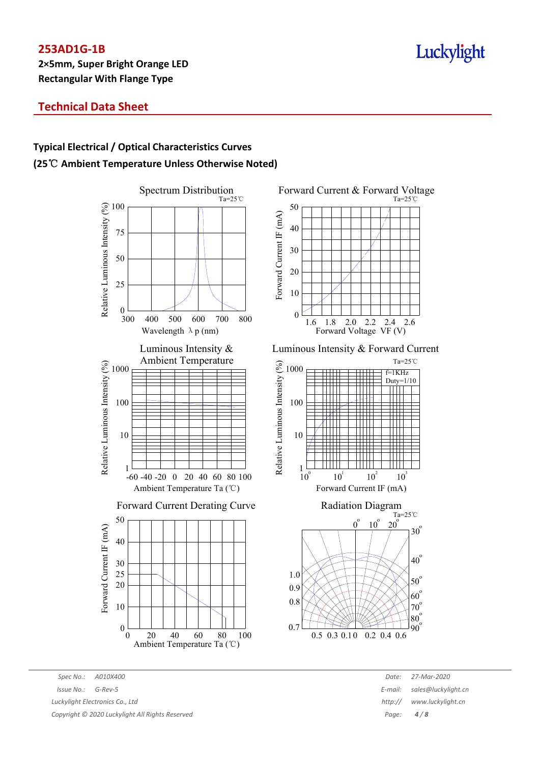# Luckylight

## **Technical Data Sheet**

# **Typical Electrical / Optical Characteristics Curves (25**℃ **Ambient Temperature Unless Otherwise Noted)**



Forward Current & Forward Voltage Ta=25℃ 50 Forward Current IF (mA) Forward Current IF (mA) 40 30 20 10 0  $1.6$   $1.8$   $2.0$   $2.2$ 2.4 2.6 Forward Voltage VF (V) Luminous Intensity & Forward Current





*Spec No.: A010X400 Date: 27-Mar-2020 Issue No.: G-Rev-5 E-mail: sales@luckylight.cn Luckylight Electronics Co., Ltd http:/// <i>http:/// www.luckylight Electronics Co., Ltd html Copyright © 2020 Luckylight All Rights Reserved Page: 4 / 8*

| Date:  | 27-Mar-2020         |
|--------|---------------------|
| -mail: | sales@luckylight.cn |
| ttp:// | www.luckylight.cn   |
| Page:  | 4/8                 |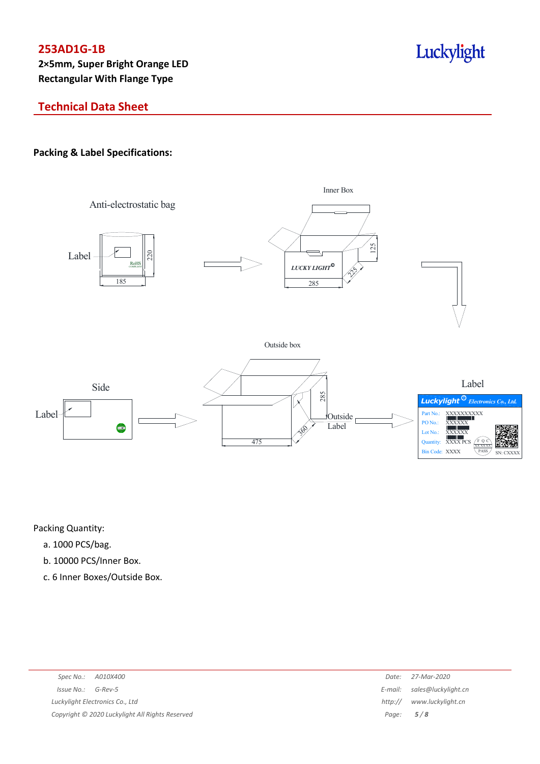# Luckylight

# **Technical Data Sheet**

## **Packing & Label Specifications:**



Packing Quantity:

- a. 1000 PCS/bag.
- b. 10000 PCS/Inner Box.
- c. 6 Inner Boxes/Outside Box.

|                                                 | Date:       | 27-Mar-2020                 |
|-------------------------------------------------|-------------|-----------------------------|
| $Issue No.: G-Rev-5$                            |             | E-mail: sales@luckylight.cn |
| Luckylight Electronics Co., Ltd                 | http://     | www.luckylight.cn           |
| Copyright © 2020 Luckylight All Rights Reserved | Page: $5/8$ |                             |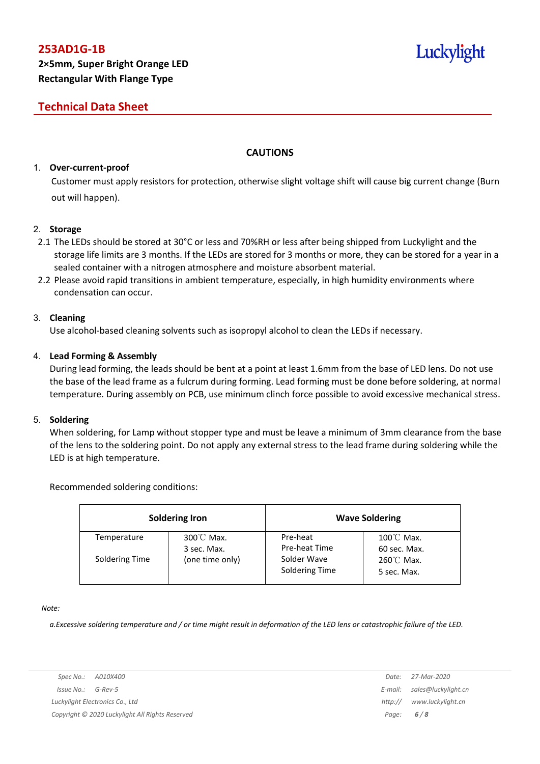## **Technical Data Sheet**

### **CAUTIONS**

#### 1. **Over-current-proof**

Customer must apply resistors for protection, otherwise slight voltage shift will cause big current change (Burn out will happen).

#### 2. **Storage**

- 2.1 The LEDs should be stored at 30°C or less and 70%RH or less after being shipped from Luckylight and the storage life limits are 3 months. If the LEDs are stored for 3 months or more, they can be stored for a year in a sealed container with a nitrogen atmosphere and moisture absorbent material.
- 2.2 Please avoid rapid transitions in ambient temperature, especially, in high humidity environments where condensation can occur.

#### 3. **Cleaning**

Use alcohol-based cleaning solvents such as isopropyl alcohol to clean the LEDs if necessary.

#### 4. **Lead Forming & Assembly**

During lead forming, the leads should be bent at a point at least 1.6mm from the base of LED lens. Do not use the base of the lead frame as a fulcrum during forming. Lead forming must be done before soldering, at normal temperature. During assembly on PCB, use minimum clinch force possible to avoid excessive mechanical stress.

#### 5. **Soldering**

When soldering, for Lamp without stopper type and must be leave a minimum of 3mm clearance from the base of the lens to the soldering point. Do not apply any external stress to the lead frame during soldering while the LED is at high temperature.

Recommended soldering conditions:

| <b>Soldering Iron</b> |                           | <b>Wave Soldering</b>         |                                      |  |
|-----------------------|---------------------------|-------------------------------|--------------------------------------|--|
| Temperature           | 300°C Max.<br>3 sec. Max. | Pre-heat<br>Pre-heat Time     | $100^{\circ}$ C Max.<br>60 sec. Max. |  |
| Soldering Time        | (one time only)           | Solder Wave<br>Soldering Time | 260℃ Max.<br>5 sec. Max.             |  |

#### *Note:*

a. Excessive soldering temperature and / or time might result in deformation of the LED lens or catastrophic failure of the LED.

*Spec No.: A010X400 Date: 27-Mar-2020 Issue No.: G-Rev-5 E-mail: sales@luckylight.cn Luckylight Electronics Co., Ltd http:// www.luckylight.cn Copyright © 2020 Luckylight All Rights Reserved Page: 6 / 8*

Luckylight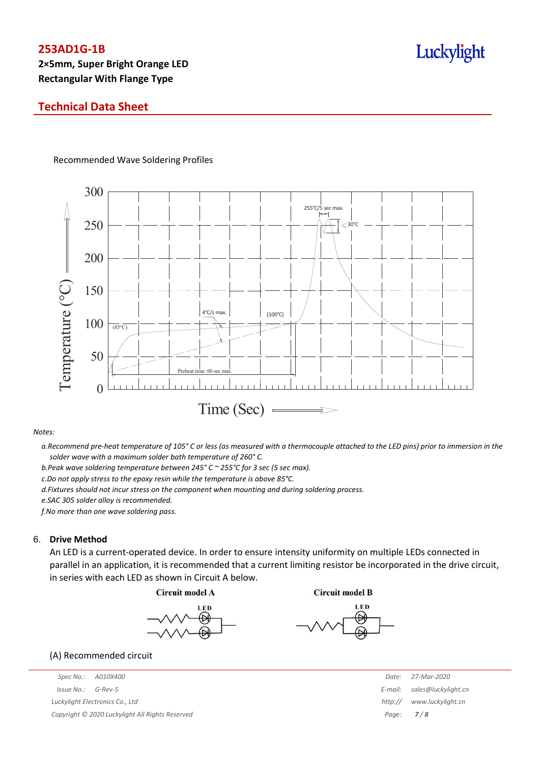## **Technical Data Sheet**

#### Recommended Wave Soldering Profiles



#### *Notes:*

a. Recommend pre-heat temperature of 105° C or less (as measured with a thermocouple attached to the LED pins) prior to immersion in the *solder wave with a maximum solder bath temperature of 260° C.*

*b.Peak wave soldering temperature between 245° C ~ 255°C for 3 sec (5 sec max).*

*c.Do not apply stress to the epoxy resin while the temperature is above 85°C.*

*d.Fixtures should not incur stress on the component when mounting and during soldering process.*

*e.SAC 305 solder alloy is recommended.*

*f.No more than one wave soldering pass.*

#### 6. **Drive Method**

An LED is a current-operated device. In order to ensure intensity uniformity on multiple LEDs connected in parallel in an application, it is recommended that a current limiting resistor be incorporated in the drive circuit, in series with each LED as shown in Circuit A below.







(A) Recommended circuit

*Spec No.: A010X400 Date: 27-Mar-2020 Issue No.: G-Rev-5 E-mail: sales@luckylight.cn Luckylight Electronics Co., Ltd http:// www.luckylight.cn Copyright © 2020 Luckylight All Rights Reserved Page: 7 / 8*

# Luckylight